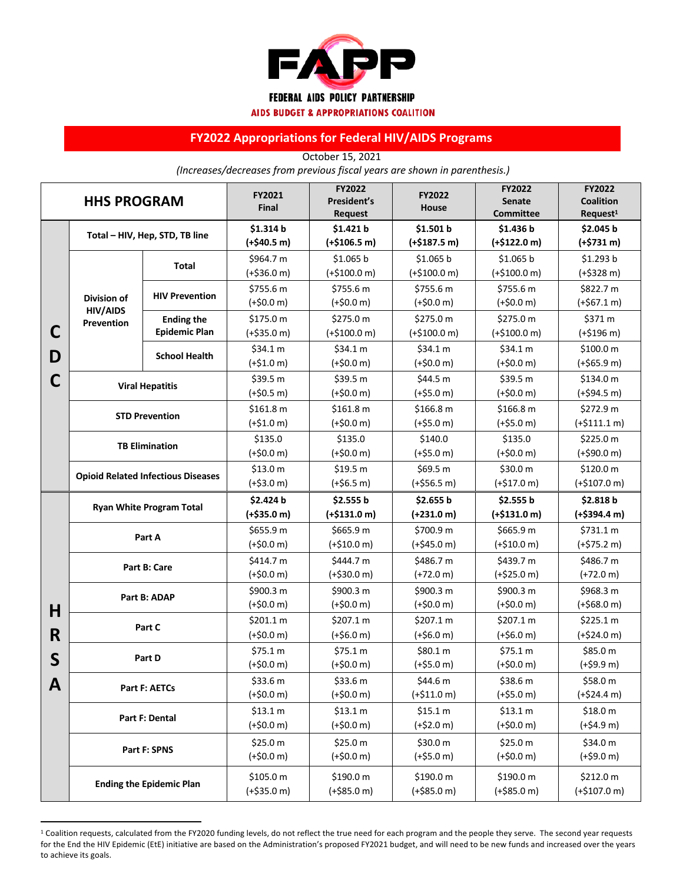

**AIDS BUDGET & APPROPRIATIONS COALITION** 

## **FY2022 Appropriations for Federal HIV/AIDS Programs**

October 15, 2021 *(Increases/decreases from previous fiscal years are shown in parenthesis.)*

| <b>HHS PROGRAM</b> |                                                     |                                           | FY2021<br>Final           | FY2022<br>President's<br><b>Request</b> | <b>FY2022</b><br>House    | FY2022<br><b>Senate</b><br><b>Committee</b> | FY2022<br><b>Coalition</b><br>Request <sup>1</sup> |
|--------------------|-----------------------------------------------------|-------------------------------------------|---------------------------|-----------------------------------------|---------------------------|---------------------------------------------|----------------------------------------------------|
|                    | Total - HIV, Hep, STD, TB line                      |                                           | \$1.314 b                 | \$1.421 b                               | \$1.501 b                 | \$1.436 b                                   | \$2.045 b                                          |
| С                  |                                                     |                                           | $(+$40.5 m)$              | $(+$106.5 m)$                           | $(+$187.5 m)$             | $(+$122.0 m)$                               | $(+$731 m)$                                        |
|                    | <b>Division of</b><br><b>HIV/AIDS</b><br>Prevention | <b>Total</b>                              | \$964.7 m                 | \$1.065 b                               | \$1.065 b                 | \$1.065 b                                   | \$1.293 b                                          |
|                    |                                                     |                                           | $(+$36.0 m)$              | $(+$100.0 m)$                           | $(+$100.0 m)$             | $(+$100.0 m)$                               | $(+$328 m)$                                        |
|                    |                                                     | <b>HIV Prevention</b>                     | \$755.6 m                 | \$755.6 m                               | \$755.6 m                 | \$755.6 m                                   | \$822.7 m                                          |
|                    |                                                     |                                           | $(+$0.0 m)$               | $(+$0.0 m)$                             | $(+$0.0 m)$               | $(+$0.0 m)$                                 | $(+$67.1 m)$                                       |
|                    |                                                     | <b>Ending the</b><br><b>Epidemic Plan</b> | \$175.0 m                 | \$275.0 m                               | \$275.0 m                 | \$275.0 m                                   | \$371 m                                            |
|                    |                                                     |                                           | $(+$35.0 m)$              | $(+$100.0 m)$                           | $(+$100.0 m)$             | $(+$100.0 m)$                               | $(+$196 m)$                                        |
| D                  |                                                     | <b>School Health</b>                      | \$34.1 m                  | \$34.1 m                                | \$34.1 m                  | \$34.1 m                                    | \$100.0 m                                          |
|                    |                                                     |                                           | $(+$1.0 m)$               | $(+$0.0 m)$                             | $(+$0.0 m)$               | $(+$0.0 m)$                                 | $(+$65.9 m)$                                       |
| С                  |                                                     |                                           | \$39.5 m                  | \$39.5 m                                | \$44.5 m                  | \$39.5 m                                    | \$134.0 m                                          |
|                    | <b>Viral Hepatitis</b>                              |                                           | $(+$0.5 m)$               | $(+$0.0 m)$                             | $(+$5.0 m)$               | $(+$0.0 m)$                                 | $(+$94.5 m)$                                       |
|                    |                                                     | <b>STD Prevention</b>                     | \$161.8 m                 | \$161.8 m                               | \$166.8 m                 | \$166.8 m                                   | \$272.9 m                                          |
|                    |                                                     |                                           |                           | $(+$0.0 m)$                             | $(+$5.0 m)$               | $(+$5.0 m)$                                 | $(+$111.1 m)$                                      |
|                    | <b>TB Elimination</b>                               |                                           | \$135.0                   | \$135.0                                 | \$140.0                   | \$135.0                                     | \$225.0 m                                          |
|                    |                                                     |                                           | $(+$0.0 m)$               | $(+$0.0 m)$                             | $(+$5.0 m)$               | $(+$0.0 m)$                                 | $(+$90.0 m)$                                       |
|                    | <b>Opioid Related Infectious Diseases</b>           |                                           | \$13.0 m                  | \$19.5 m                                | \$69.5 m                  | \$30.0 m                                    | \$120.0 m                                          |
|                    |                                                     |                                           | $(+$3.0 m)$               | $(+$6.5 m)$                             | $(+$56.5 m)$              | $(+$17.0 m)$                                | $(+$107.0 m)$                                      |
|                    |                                                     |                                           | \$2.424 b                 | \$2.555 b                               | \$2.655 b                 | \$2.555 b                                   | \$2.818 b                                          |
|                    |                                                     |                                           |                           |                                         |                           |                                             |                                                    |
|                    |                                                     | <b>Ryan White Program Total</b>           | $(+$35.0 m)$              | $(+$131.0 m)$                           | $(+231.0 m)$              | $(+$131.0 m)$                               | $(+$394.4 m)$                                      |
|                    |                                                     |                                           | \$655.9 m                 | \$665.9 m                               | \$700.9 m                 | \$665.9 m                                   | \$731.1 m                                          |
|                    |                                                     | Part A                                    | $(+$0.0 m)$               | $(+$10.0 m)$                            | $(+$45.0 m)$              | $(+$10.0 m)$                                | $(+$75.2 m)$                                       |
|                    |                                                     |                                           | \$414.7 m                 | \$444.7 m                               | \$486.7 m                 | \$439.7 m                                   | \$486.7 m                                          |
|                    |                                                     | Part B: Care                              | $(+$0.0 m)$               | $(+$30.0 m)$                            | $(+72.0 m)$               | $(+$25.0 m)$                                | $(+72.0 m)$                                        |
|                    |                                                     |                                           | \$900.3 m                 | \$900.3 m                               | \$900.3 m                 | \$900.3 m                                   | \$968.3 m                                          |
|                    |                                                     | Part B: ADAP                              | $(+$0.0 m)$               | $(+$0.0 m)$                             | $(+$0.0 m)$               | $(+$0.0 m)$                                 | $(+$68.0 m)$                                       |
| H                  |                                                     |                                           | \$201.1 m                 | \$207.1 m                               | \$207.1 m                 | \$207.1 m                                   | \$225.1 m                                          |
| R                  |                                                     | Part C                                    | $(+$0.0 m)$               | $(+$6.0 m)$                             | $(+$6.0 m)$               | $(+$6.0 m)$                                 | $(+$24.0 m)$                                       |
|                    |                                                     |                                           | \$75.1 m                  | \$75.1 m                                | \$80.1 m                  | \$75.1 m                                    | \$85.0 m                                           |
| $\mathsf{S}$       |                                                     | Part D                                    | $(+$0.0 m)$               | $(+$0.0 m)$                             | $(+$5.0 m)$               | $(+$0.0 m)$                                 | (+\$9.9 m)                                         |
|                    |                                                     |                                           | \$33.6 m                  | \$33.6 m                                | \$44.6 m                  | \$38.6 m                                    | \$58.0 m                                           |
| A                  |                                                     | Part F: AETCs                             | (+\$0.0 m)                | $(+$0.0 m)$                             | $(+$11.0 m)$              | $(+$5.0 m)$                                 | $(+$24.4 m)$                                       |
|                    |                                                     |                                           | \$13.1 m                  | \$13.1 m                                | \$15.1 m                  | \$13.1 m                                    | \$18.0 m                                           |
|                    |                                                     | Part F: Dental                            | (+\$0.0 m)                | $(+$0.0 m)$                             | $(+$2.0 m)$               | $(+$0.0 m)$                                 | (+\$4.9 m)                                         |
|                    |                                                     |                                           | \$25.0 m                  | \$25.0 m                                | \$30.0 m                  | \$25.0 m                                    | \$34.0 m                                           |
|                    |                                                     | Part F: SPNS                              | $(+$0.0 m)$               | $(+$0.0 m)$                             | $(+$5.0 m)$               | $(+$0.0 m)$                                 | $(+$9.0 m)$                                        |
|                    |                                                     |                                           |                           |                                         |                           |                                             |                                                    |
|                    |                                                     | <b>Ending the Epidemic Plan</b>           | \$105.0 m<br>$(+$35.0 m)$ | \$190.0 m<br>$(+$85.0 m)$               | \$190.0 m<br>$(+$85.0 m)$ | \$190.0 m<br>$(+$85.0 m)$                   | \$212.0 m<br>$(+$107.0 m)$                         |

<sup>&</sup>lt;sup>1</sup> Coalition requests, calculated from the FY2020 funding levels, do not reflect the true need for each program and the people they serve. The second year requests for the End the HIV Epidemic (EtE) initiative are based on the Administration's proposed FY2021 budget, and will need to be new funds and increased over the years to achieve its goals.